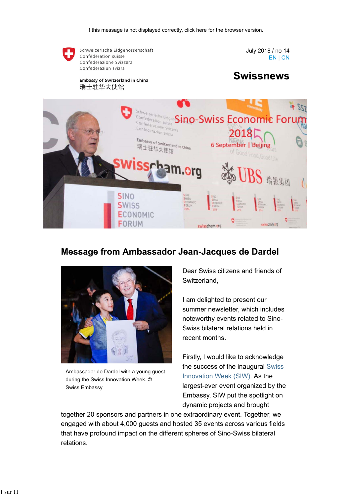

### **Message from Ambassador Jean-Jacques de Dardel**



Ambassador de Dardel with a young guest during the Swiss Innovation Week. © Swiss Embassy

Dear Swiss citizens and friends of Switzerland,

I am delighted to present our summer newsletter, which includes noteworthy events related to Sino-Swiss bilateral relations held in recent months.

Firstly, I would like to acknowledge the success of the inaugural Swiss Innovation Week (SIW). As the largest-ever event organized by the Embassy, SIW put the spotlight on dynamic projects and brought

together 20 sponsors and partners in one extraordinary event. Together, we engaged with about 4,000 guests and hosted 35 events across various fields that have profound impact on the different spheres of Sino-Swiss bilateral relations.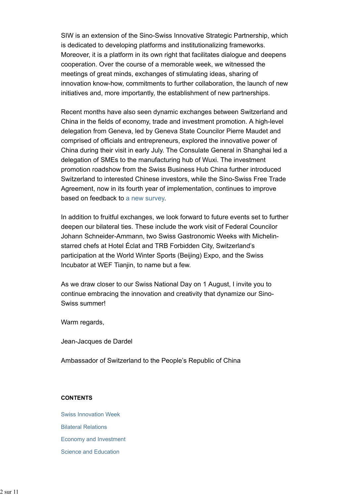SIW is an extension of the Sino-Swiss Innovative Strategic Partnership, which is dedicated to developing platforms and institutionalizing frameworks. Moreover, it is a platform in its own right that facilitates dialogue and deepens cooperation. Over the course of a memorable week, we witnessed the meetings of great minds, exchanges of stimulating ideas, sharing of innovation know-how, commitments to further collaboration, the launch of new initiatives and, more importantly, the establishment of new partnerships.

Recent months have also seen dynamic exchanges between Switzerland and China in the fields of economy, trade and investment promotion. A high-level delegation from Geneva, led by Geneva State Councilor Pierre Maudet and comprised of officials and entrepreneurs, explored the innovative power of China during their visit in early July. The Consulate General in Shanghai led a delegation of SMEs to the manufacturing hub of Wuxi. The investment promotion roadshow from the Swiss Business Hub China further introduced Switzerland to interested Chinese investors, while the Sino-Swiss Free Trade Agreement, now in its fourth year of implementation, continues to improve based on feedback to a new survey.

In addition to fruitful exchanges, we look forward to future events set to further deepen our bilateral ties. These include the work visit of Federal Councilor Johann Schneider-Ammann, two Swiss Gastronomic Weeks with Michelinstarred chefs at Hotel Éclat and TRB Forbidden City, Switzerland's participation at the World Winter Sports (Beijing) Expo, and the Swiss Incubator at WEF Tianjin, to name but a few.

As we draw closer to our Swiss National Day on 1 August, I invite you to continue embracing the innovation and creativity that dynamize our Sino-Swiss summer!

Warm regards,

Jean-Jacques de Dardel

Ambassador of Switzerland to the People's Republic of China

#### **CONTENTS**

Swiss Innovation Week Bilateral Relations Economy and Investment Science and Education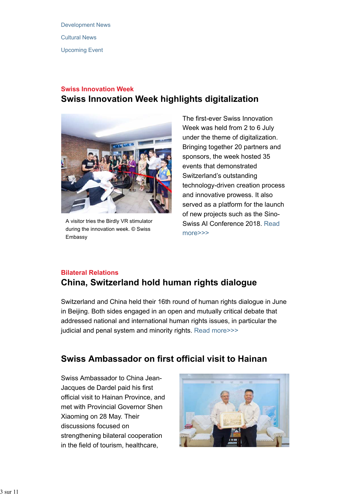Development News Cultural News Upcoming Event

## **Swiss Innovation Week Swiss Innovation Week highlights digitalization**



A visitor tries the Birdly VR stimulator during the innovation week. © Swiss Embassy

The first-ever Swiss Innovation Week was held from 2 to 6 July under the theme of digitalization. Bringing together 20 partners and sponsors, the week hosted 35 events that demonstrated Switzerland's outstanding technology-driven creation process and innovative prowess. It also served as a platform for the launch of new projects such as the Sino-Swiss AI Conference 2018. Read more>>>

### **Bilateral Relations China, Switzerland hold human rights dialogue**

Switzerland and China held their 16th round of human rights dialogue in June in Beijing. Both sides engaged in an open and mutually critical debate that addressed national and international human rights issues, in particular the judicial and penal system and minority rights. Read more>>>

# **Swiss Ambassador on first official visit to Hainan**

Swiss Ambassador to China Jean-Jacques de Dardel paid his first official visit to Hainan Province, and met with Provincial Governor Shen Xiaoming on 28 May. Their discussions focused on strengthening bilateral cooperation in the field of tourism, healthcare,

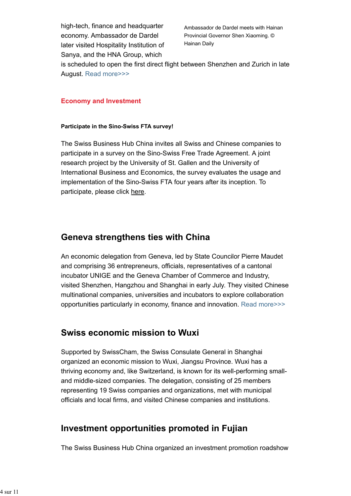high-tech, finance and headquarter economy. Ambassador de Dardel later visited Hospitality Institution of Sanya, and the HNA Group, which

Ambassador de Dardel meets with Hainan Provincial Governor Shen Xiaoming. © Hainan Daily

is scheduled to open the first direct flight between Shenzhen and Zurich in late August. Read more>>>

### **Economy and Investment**

### **Participate in the Sino-Swiss FTA survey!**

The Swiss Business Hub China invites all Swiss and Chinese companies to participate in a survey on the Sino-Swiss Free Trade Agreement. A joint research project by the University of St. Gallen and the University of International Business and Economics, the survey evaluates the usage and implementation of the Sino-Swiss FTA four years after its inception. To participate, please click here.

### **Geneva strengthens ties with China**

An economic delegation from Geneva, led by State Councilor Pierre Maudet and comprising 36 entrepreneurs, officials, representatives of a cantonal incubator UNIGE and the Geneva Chamber of Commerce and Industry, visited Shenzhen, Hangzhou and Shanghai in early July. They visited Chinese multinational companies, universities and incubators to explore collaboration opportunities particularly in economy, finance and innovation. Read more>>>

### **Swiss economic mission to Wuxi**

Supported by SwissCham, the Swiss Consulate General in Shanghai organized an economic mission to Wuxi, Jiangsu Province. Wuxi has a thriving economy and, like Switzerland, is known for its well-performing smalland middle-sized companies. The delegation, consisting of 25 members representing 19 Swiss companies and organizations, met with municipal officials and local firms, and visited Chinese companies and institutions.

### **Investment opportunities promoted in Fujian**

The Swiss Business Hub China organized an investment promotion roadshow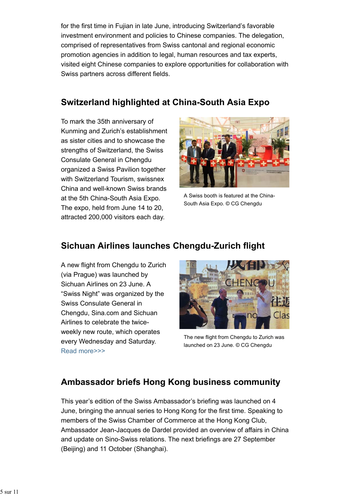for the first time in Fujian in late June, introducing Switzerland's favorable investment environment and policies to Chinese companies. The delegation, comprised of representatives from Swiss cantonal and regional economic promotion agencies in addition to legal, human resources and tax experts, visited eight Chinese companies to explore opportunities for collaboration with Swiss partners across different fields.

# **Switzerland highlighted at China-South Asia Expo**

To mark the 35th anniversary of Kunming and Zurich's establishment as sister cities and to showcase the strengths of Switzerland, the Swiss Consulate General in Chengdu organized a Swiss Pavilion together with Switzerland Tourism, swissnex China and well-known Swiss brands at the 5th China-South Asia Expo. The expo, held from June 14 to 20, attracted 200,000 visitors each day.



A Swiss booth is featured at the China-South Asia Expo. © CG Chengdu

## **Sichuan Airlines launches Chengdu-Zurich flight**

A new flight from Chengdu to Zurich (via Prague) was launched by Sichuan Airlines on 23 June. A "Swiss Night" was organized by the Swiss Consulate General in Chengdu, Sina.com and Sichuan Airlines to celebrate the twiceweekly new route, which operates every Wednesday and Saturday. Read more>>>



The new flight from Chengdu to Zurich was launched on 23 June. © CG Chengdu

## **Ambassador briefs Hong Kong business community**

This year's edition of the Swiss Ambassador's briefing was launched on 4 June, bringing the annual series to Hong Kong for the first time. Speaking to members of the Swiss Chamber of Commerce at the Hong Kong Club, Ambassador Jean-Jacques de Dardel provided an overview of affairs in China and update on Sino-Swiss relations. The next briefings are 27 September (Beijing) and 11 October (Shanghai).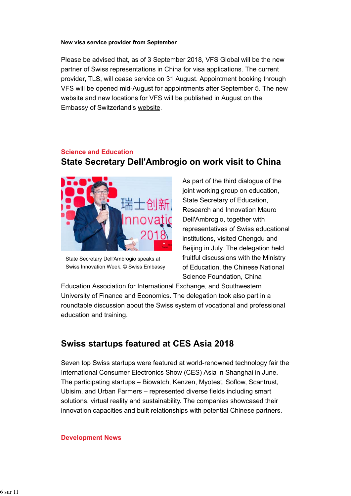#### **New visa service provider from September**

Please be advised that, as of 3 September 2018, VFS Global will be the new partner of Swiss representations in China for visa applications. The current provider, TLS, will cease service on 31 August. Appointment booking through VFS will be opened mid-August for appointments after September 5. The new website and new locations for VFS will be published in August on the Embassy of Switzerland's website.

#### **Science and Education**

## **State Secretary Dell'Ambrogio on work visit to China**



State Secretary Dell'Ambrogio speaks at Swiss Innovation Week. © Swiss Embassy

As part of the third dialogue of the joint working group on education, State Secretary of Education, Research and Innovation Mauro Dell'Ambrogio, together with representatives of Swiss educational institutions, visited Chengdu and Beijing in July. The delegation held fruitful discussions with the Ministry of Education, the Chinese National Science Foundation, China

Education Association for International Exchange, and Southwestern University of Finance and Economics. The delegation took also part in a roundtable discussion about the Swiss system of vocational and professional education and training.

## **Swiss startups featured at CES Asia 2018**

Seven top Swiss startups were featured at world-renowned technology fair the International Consumer Electronics Show (CES) Asia in Shanghai in June. The participating startups – Biowatch, Kenzen, Myotest, Soflow, Scantrust, Ubisim, and Urban Farmers – represented diverse fields including smart solutions, virtual reality and sustainability. The companies showcased their innovation capacities and built relationships with potential Chinese partners.

#### **Development News**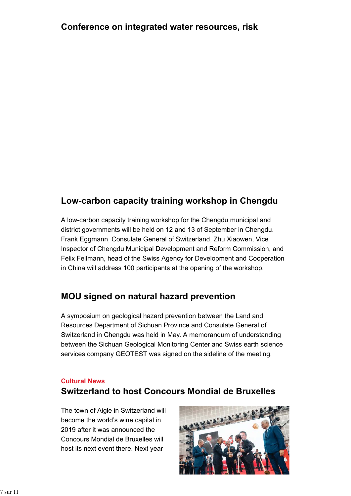## **Low-carbon capacity training workshop in Chengdu**

A low-carbon capacity training workshop for the Chengdu municipal and district governments will be held on 12 and 13 of September in Chengdu. Frank Eggmann, Consulate General of Switzerland, Zhu Xiaowen, Vice Inspector of Chengdu Municipal Development and Reform Commission, and Felix Fellmann, head of the Swiss Agency for Development and Cooperation in China will address 100 participants at the opening of the workshop.

# **MOU signed on natural hazard prevention**

A symposium on geological hazard prevention between the Land and Resources Department of Sichuan Province and Consulate General of Switzerland in Chengdu was held in May. A memorandum of understanding between the Sichuan Geological Monitoring Center and Swiss earth science services company GEOTEST was signed on the sideline of the meeting.

### **Cultural News**

# **Switzerland to host Concours Mondial de Bruxelles**

The town of Aigle in Switzerland will become the world's wine capital in 2019 after it was announced the Concours Mondial de Bruxelles will host its next event there. Next year

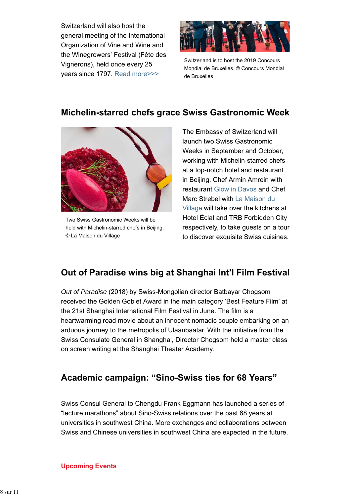Switzerland will also host the general meeting of the International Organization of Vine and Wine and the Winegrowers' Festival (Fête des Vignerons), held once every 25 years since 1797. Read more>>>



Switzerland is to host the 2019 Concours Mondial de Bruxelles. © Concours Mondial de Bruxelles

# **Michelin-starred chefs grace Swiss Gastronomic Week**



Two Swiss Gastronomic Weeks will be held with Michelin-starred chefs in Beijing. © La Maison du Village

The Embassy of Switzerland will launch two Swiss Gastronomic Weeks in September and October, working with Michelin-starred chefs at a top-notch hotel and restaurant in Beijing. Chef Armin Amrein with restaurant Glow in Davos and Chef Marc Strebel with La Maison du Village will take over the kitchens at Hotel Éclat and TRB Forbidden City respectively, to take guests on a tour to discover exquisite Swiss cuisines.

# **Out of Paradise wins big at Shanghai Int'l Film Festival**

*Out of Paradise* (2018) by Swiss-Mongolian director Batbayar Chogsom received the Golden Goblet Award in the main category 'Best Feature Film' at the 21st Shanghai International Film Festival in June. The film is a heartwarming road movie about an innocent nomadic couple embarking on an arduous journey to the metropolis of Ulaanbaatar. With the initiative from the Swiss Consulate General in Shanghai, Director Chogsom held a master class on screen writing at the Shanghai Theater Academy.

## **Academic campaign: "Sino-Swiss ties for 68 Years"**

Swiss Consul General to Chengdu Frank Eggmann has launched a series of "lecture marathons" about Sino-Swiss relations over the past 68 years at universities in southwest China. More exchanges and collaborations between Swiss and Chinese universities in southwest China are expected in the future.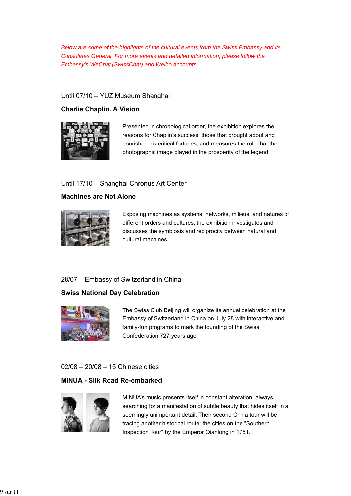*Below are some of the highlights of the cultural events from the Swiss Embassy and its Consulates General. For more events and detailed information, please follow the Embassy's WeChat (SwissChat) and Weibo accounts.*

### Until 07/10 – YUZ Museum Shanghai

### **Charlie Chaplin. A Vision**



Presented in chronological order, the exhibition explores the reasons for Chaplin's success, those that brought about and nourished his critical fortunes, and measures the role that the photographic image played in the prosperity of the legend.

#### Until 17/10 – Shanghai Chronus Art Center

#### **Machines are Not Alone**



Exposing machines as systems, networks, milieus, and natures of different orders and cultures, the exhibition investigates and discusses the symbiosis and reciprocity between natural and cultural machines.

#### 28/07 – Embassy of Switzerland in China

#### **Swiss National Day Celebration**



The Swiss Club Beijing will organize its annual celebration at the Embassy of Switzerland in China on July 28 with interactive and family-fun programs to mark the founding of the Swiss Confederation 727 years ago.

#### 02/08 – 20/08 – 15 Chinese cities

### **MINUA - Silk Road Re-embarked**



MINUA's music presents itself in constant alteration, always searching for a manifestation of subtle beauty that hides itself in a seemingly unimportant detail. Their second China tour will be tracing another historical route: the cities on the "Southern Inspection Tour" by the Emperor Qianlong in 1751.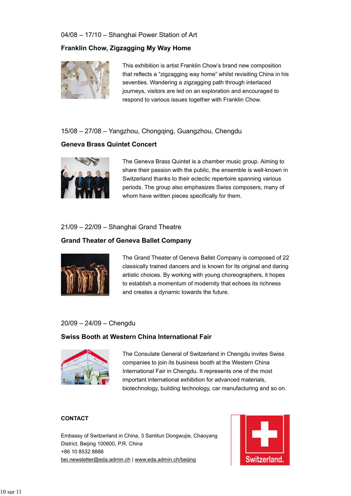### 04/08 – 17/10 – Shanghai Power Station of Art

### **Franklin Chow, Zigzagging My Way Home**



This exhibition is artist Franklin Chow's brand new composition that reflects a "zigzagging way home" whilst revisiting China in his seventies. Wandering a zigzagging path through interlaced journeys, visitors are led on an exploration and encouraged to respond to various issues together with Franklin Chow.

### 15/08 – 27/08 – Yangzhou, Chongqing, Guangzhou, Chengdu

### **Geneva Brass Quintet Concert**



The Geneva Brass Quintet is a chamber music group. Aiming to share their passion with the public, the ensemble is well-known in Switzerland thanks to their eclectic repertoire spanning various periods. The group also emphasizes Swiss composers, many of whom have written pieces specifically for them.

### 21/09 – 22/09 – Shanghai Grand Theatre

### **Grand Theater of Geneva Ballet Company**



The Grand Theater of Geneva Ballet Company is composed of 22 classically trained dancers and is known for its original and daring artistic choices. By working with young choreographers, it hopes to establish a momentum of modernity that echoes its richness and creates a dynamic towards the future.

#### 20/09 – 24/09 – Chengdu

#### **Swiss Booth at Western China International Fair**



The Consulate General of Switzerland in Chengdu invites Swiss companies to join its business booth at the Western China International Fair in Chengdu. It represents one of the most important international exhibition for advanced materials, biotechnology, building technology, car manufacturing and so on.

#### **CONTACT**

Embassy of Switzerland in China, 3 Sanlitun Dongwujie, Chaoyang District, Beijing 100600, P.R. China +86 10 8532 8888 bei.newsletter@eda.admin.ch | www.eda.admin.ch/beijing